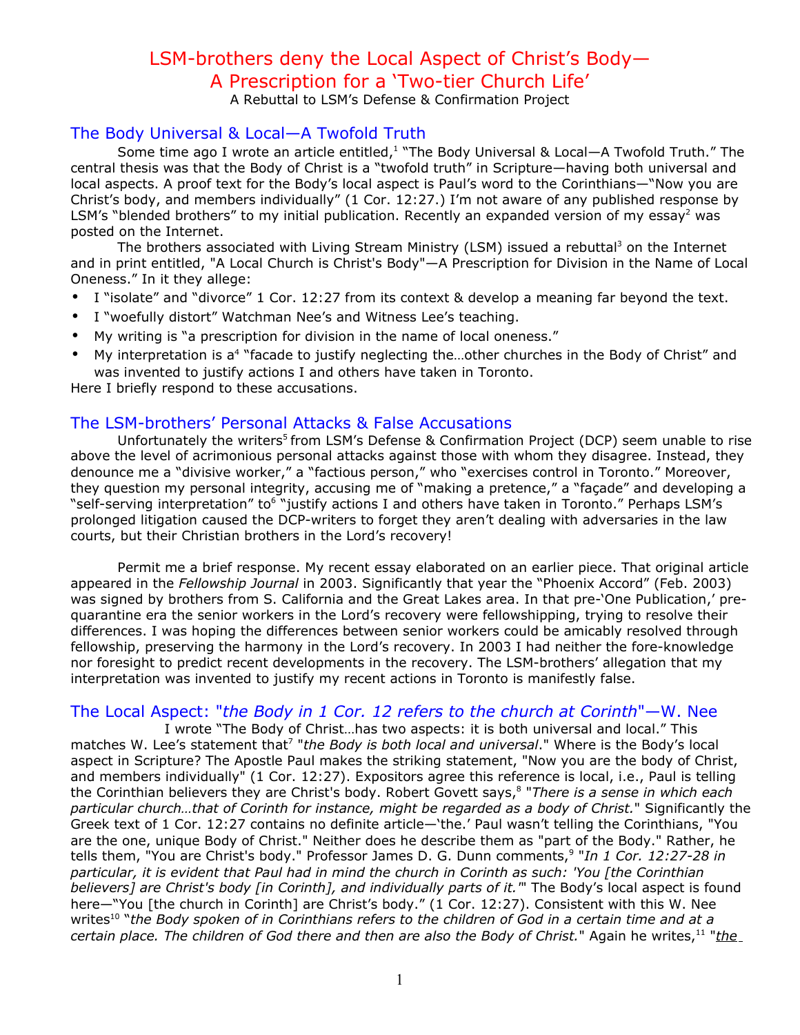# LSM-brothers deny the Local Aspect of Christ's Body— A Prescription for a 'Two-tier Church Life'

A Rebuttal to LSM's Defense & Confirmation Project

# The Body Universal & Local—A Twofold Truth

Some time ago I wrote an article entitled,<sup>1</sup> "The Body Universal & Local—A Twofold Truth." The central thesis was that the Body of Christ is a "twofold truth" in Scripture—having both universal and local aspects. A proof text for the Body's local aspect is Paul's word to the Corinthians—"Now you are Christ's body, and members individually" (1 Cor. 12:27.) I'm not aware of any published response by LSM's "blended brothers" to my initial publication. Recently an expanded version of my essay<sup>2</sup> was posted on the Internet.

The brothers associated with Living Stream Ministry (LSM) issued a rebuttal<sup>3</sup> on the Internet and in print entitled, "A Local Church is Christ's Body"—A Prescription for Division in the Name of Local Oneness." In it they allege:

- I "isolate" and "divorce" 1 Cor. 12:27 from its context & develop a meaning far beyond the text.
- I "woefully distort" Watchman Nee's and Witness Lee's teaching.
- My writing is "a prescription for division in the name of local oneness."
- My interpretation is a<sup>4</sup> "facade to justify neglecting the...other churches in the Body of Christ" and was invented to justify actions I and others have taken in Toronto.

Here I briefly respond to these accusations.

# The LSM-brothers' Personal Attacks & False Accusations

Unfortunately the writers<sup>5</sup> from LSM's Defense & Confirmation Project (DCP) seem unable to rise above the level of acrimonious personal attacks against those with whom they disagree. Instead, they denounce me a "divisive worker," a "factious person," who "exercises control in Toronto." Moreover, they question my personal integrity, accusing me of "making a pretence," a "façade" and developing a "self-serving interpretation" to<sup>6</sup> "justify actions I and others have taken in Toronto." Perhaps LSM's prolonged litigation caused the DCP-writers to forget they aren't dealing with adversaries in the law courts, but their Christian brothers in the Lord's recovery!

Permit me a brief response. My recent essay elaborated on an earlier piece. That original article appeared in the *Fellowship Journal* in 2003. Significantly that year the "Phoenix Accord" (Feb. 2003) was signed by brothers from S. California and the Great Lakes area. In that pre-'One Publication,' prequarantine era the senior workers in the Lord's recovery were fellowshipping, trying to resolve their differences. I was hoping the differences between senior workers could be amicably resolved through fellowship, preserving the harmony in the Lord's recovery. In 2003 I had neither the fore-knowledge nor foresight to predict recent developments in the recovery. The LSM-brothers' allegation that my interpretation was invented to justify my recent actions in Toronto is manifestly false.

# The Local Aspect: "*the Body in 1 Cor. 12 refers to the church at Corinth*"—W. Nee

I wrote "The Body of Christ…has two aspects: it is both universal and local." This matches W. Lee's statement that 7 "*the Body is both local and universal*." Where is the Body's local aspect in Scripture? The Apostle Paul makes the striking statement, "Now you are the body of Christ, and members individually" (1 Cor. 12:27). Expositors agree this reference is local, i.e., Paul is telling the Corinthian believers they are Christ's body. Robert Govett says, 8 "*There is a sense in which each particular church…that of Corinth for instance, might be regarded as a body of Christ.*" Significantly the Greek text of 1 Cor. 12:27 contains no definite article—'the.' Paul wasn't telling the Corinthians, "You are the one, unique Body of Christ." Neither does he describe them as "part of the Body." Rather, he tells them, "You are Christ's body." Professor James D. G. Dunn comments, 9 "*In 1 Cor. 12:27-28 in* particular, it is evident that Paul had in mind the church in Corinth as such: 'You [the Corinthian *believers] are Christ's body [in Corinth], and individually parts of it.'*" The Body's local aspect is found here—"You [the church in Corinth] are Christ's body." (1 Cor. 12:27). Consistent with this W. Nee writes<sup>10</sup> "the Body spoken of in Corinthians refers to the children of God in a certain time and at a *certain place. The children of God there and then are also the Body of Christ.*" Again he writes, 11 "*the*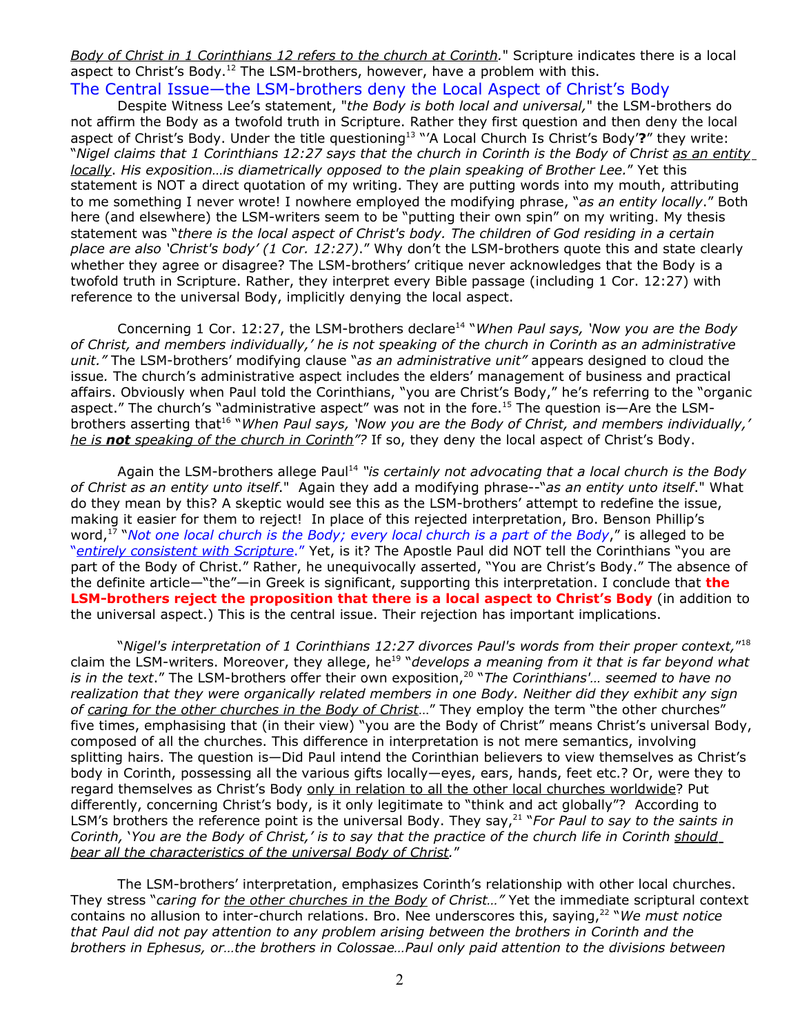*Body of Christ in 1 Corinthians 12 refers to the church at Corinth.*" Scripture indicates there is a local aspect to Christ's Body.<sup>12</sup> The LSM-brothers, however, have a problem with this. The Central Issue—the LSM-brothers deny the Local Aspect of Christ's Body

Despite Witness Lee's statement, "*the Body is both local and universal,*" the LSM-brothers do not affirm the Body as a twofold truth in Scripture. Rather they first question and then deny the local aspect of Christ's Body. Under the title questioning<sup>13</sup> "'A Local Church Is Christ's Body'?" they write: "Nigel claims that 1 Corinthians 12:27 says that the church in Corinth is the Body of Christ as an entity *locally*. *His exposition…is diametrically opposed to the plain speaking of Brother Lee.*" Yet this statement is NOT a direct quotation of my writing. They are putting words into my mouth, attributing to me something I never wrote! I nowhere employed the modifying phrase, "*as an entity locally*." Both here (and elsewhere) the LSM-writers seem to be "putting their own spin" on my writing. My thesis statement was "*there is the local aspect of Christ's body. The children of God residing in a certain place are also 'Christ's body' (1 Cor. 12:27)*." Why don't the LSM-brothers quote this and state clearly whether they agree or disagree? The LSM-brothers' critique never acknowledges that the Body is a twofold truth in Scripture. Rather, they interpret every Bible passage (including 1 Cor. 12:27) with reference to the universal Body, implicitly denying the local aspect.

Concerning 1 Cor. 12:27, the LSM-brothers declare 14 "*When Paul says, 'Now you are the Body of Christ, and members individually,' he is not speaking of the church in Corinth as an administrative unit."* The LSM-brothers' modifying clause "*as an administrative unit"* appears designed to cloud the issue*.* The church's administrative aspect includes the elders' management of business and practical affairs. Obviously when Paul told the Corinthians, "you are Christ's Body," he's referring to the "organic aspect." The church's "administrative aspect" was not in the fore.<sup>15</sup> The question is—Are the LSMbrothers asserting that 16 "*When Paul says, 'Now you are the Body of Christ, and members individually,' h e is n ot speaking of the church in Corinth"?* If so, they deny the local aspect of Christ's Body.

Again the LSM-brothers allege Paul 14 *"is certainly not advocating that a local church is the Body of Christ as an entity unto itself*." Again they add a modifying phrase--"*as an entity unto itself*." What do they mean by this? A skeptic would see this as the LSM-brothers' attempt to redefine the issue, making it easier for them to reject! In place of this rejected interpretation, Bro. Benson Phillip's word, 17 "*Not one local church is the Body; every local church is a part of the Body*," is alleged to be "*entirely consistent with Scripture*." Yet, is it? The Apostle Paul did NOT tell the Corinthians "you are part of the Body of Christ." Rather, he unequivocally asserted, "You are Christ's Body." The absence of the definite article—"the"—in Greek is significant, supporting this interpretation. I conclude that **the LSM-brothers reject the proposition that there is a local aspect to Christ's Body** (in addition to the universal aspect.) This is the central issue. Their rejection has important implications.

"*Nigel's interpretation of 1 Corinthians 12:27 divorces Paul's words from their proper context,*" 18 claim the LSM-writers. Moreover, they allege, he 19 "*develops a meaning from it that is far beyond what is in the text*." The LSM-brothers offer their own exposition, 20 "*The Corinthians'… seemed to have no realization that they were organically related members in one Body. Neither did they exhibit any sign of caring for the other churches in the Body of Christ*…" They employ the term "the other churches" five times, emphasising that (in their view) "you are the Body of Christ" means Christ's universal Body, composed of all the churches. This difference in interpretation is not mere semantics, involving splitting hairs. The question is—Did Paul intend the Corinthian believers to view themselves as Christ's body in Corinth, possessing all the various gifts locally—eyes, ears, hands, feet etc.? Or, were they to regard themselves as Christ's Body only in relation to all the other local churches worldwide? Put differently, concerning Christ's body, is it only legitimate to "think and act globally"? According to LSM's brothers the reference point is the universal Body. They say, 21 "*For Paul to say to the saints in* Corinth, 'You are the Body of Christ,' is to say that the practice of the church life in Corinth should *bear all the characteristics of the universal Body of Christ.*"

The LSM-brothers' interpretation, emphasizes Corinth's relationship with other local churches. They stress "*caring for the other churches in the Body of Christ…"* Yet the immediate scriptural context contains no allusion to inter-church relations. Bro. Nee underscores this, saying, 22 "*We must notice that Paul did not pay attention to any problem arising between the brothers in Corinth and the brothers in Ephesus, or…the brothers in Colossae…Paul only paid attention to the divisions between*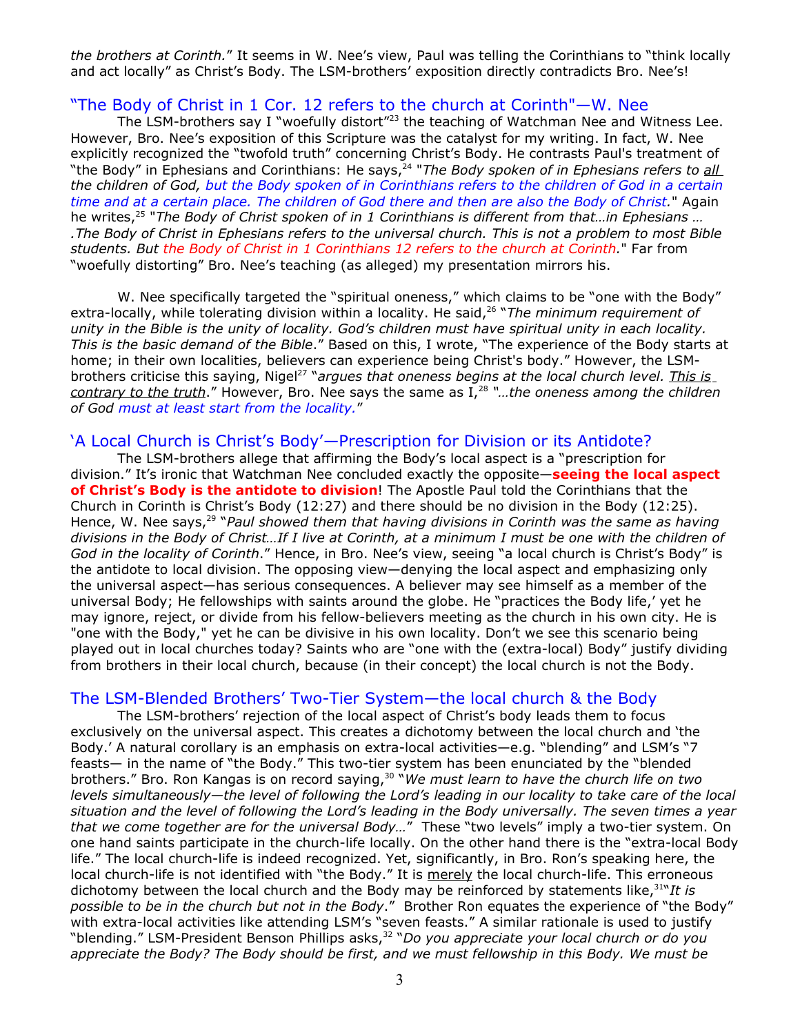*the brothers at Corinth.*" It seems in W. Nee's view, Paul was telling the Corinthians to "think locally and act locally" as Christ's Body. The LSM-brothers' exposition directly contradicts Bro. Nee's!

## "The Body of Christ in 1 Cor. 12 refers to the church at Corinth"—W. Nee

The LSM-brothers say I "woefully distort<sup>"23</sup> the teaching of Watchman Nee and Witness Lee. However, Bro. Nee's exposition of this Scripture was the catalyst for my writing. In fact, W. Nee explicitly recognized the "twofold truth" concerning Christ's Body. He contrasts Paul's treatment of "the Body" in Ephesians and Corinthians: He says, 24 "*The Body spoken of in Ephesians refers to all* the children of God, but the Body spoken of in Corinthians refers to the children of God in a certain time and at a certain place. The children of God there and then are also the Body of Christ." Again he writes, 25 "*The Body of Christ spoken of in 1 Corinthians is different from that…in Ephesians …* The Body of Christ in Ephesians refers to the universal church. This is not a problem to most Bible. *students. But the Body of Christ in 1 Corinthians 12 refers to the church at Corinth.*" Far from "woefully distorting" Bro. Nee's teaching (as alleged) my presentation mirrors his.

W. Nee specifically targeted the "spiritual oneness," which claims to be "one with the Body" extra-locally, while tolerating division within a locality. He said, 26 "*The minimum requirement of* unity in the Bible is the unity of locality. God's children must have spiritual unity in each locality. *This is the basic demand of the Bible*." Based on this, I wrote, "The experience of the Body starts at home; in their own localities, believers can experience being Christ's body." However, the LSMbrothers criticise this saying, Nigel 27 "*argues that oneness begins at the local church level. This is contrary to the truth*." However, Bro. Nee says the same as I, 28 *"…the oneness among the children of God must at least start from the locality.*"

### 'A Local Church is Christ's Body'—Prescription for Division or its Antidote?

The LSM-brothers allege that affirming the Body's local aspect is a "prescription for division." It's ironic that Watchman Nee concluded exactly the opposite—**seeing the local aspect of Christ's Body is the antidote to division**! The Apostle Paul told the Corinthians that the Church in Corinth is Christ's Body (12:27) and there should be no division in the Body (12:25). Hence, W. Nee says, 29 "*Paul showed them that having divisions in Corinth was the same as having* divisions in the Body of Christ...If I live at Corinth, at a minimum I must be one with the children of *God in the locality of Corinth*." Hence, in Bro. Nee's view, seeing "a local church is Christ's Body" is the antidote to local division. The opposing view—denying the local aspect and emphasizing only the universal aspect—has serious consequences. A believer may see himself as a member of the universal Body; He fellowships with saints around the globe. He "practices the Body life,' yet he may ignore, reject, or divide from his fellow-believers meeting as the church in his own city. He is "one with the Body," yet he can be divisive in his own locality. Don't we see this scenario being played out in local churches today? Saints who are "one with the (extra-local) Body" justify dividing from brothers in their local church, because (in their concept) the local church is not the Body.

#### The LSM-Blended Brothers' Two-Tier System—the local church & the Body

The LSM-brothers' rejection of the local aspect of Christ's body leads them to focus exclusively on the universal aspect. This creates a dichotomy between the local church and 'the Body.' A natural corollary is an emphasis on extra-local activities—e.g. "blending" and LSM's "7 feasts— in the name of "the Body." This two-tier system has been enunciated by the "blended brothers." Bro. Ron Kangas is on record saying, 30 "*We must learn to have the church life on two levels simultaneously—the level of following the Lord's leading in our locality to take care of the local* situation and the level of following the Lord's leading in the Body universally. The seven times a year *that we come together are for the universal Body…*" These "two levels" imply a two-tier system. On one hand saints participate in the church-life locally. On the other hand there is the "extra-local Body life." The local church-life is indeed recognized. Yet, significantly, in Bro. Ron's speaking here, the local church-life is not identified with "the Body." It is merely the local church-life. This erroneous dichotomy between the local church and the Body may be reinforced by statements like, 31 "*It is possible to be in the church but not in the Body*." Brother Ron equates the experience of "the Body" with extra-local activities like attending LSM's "seven feasts." A similar rationale is used to justify "blending." LSM-President Benson Phillips asks, 32 "*Do you appreciate your local church or do you appreciate the Body? The Body should be first, and we must fellowship in this Body. We must be*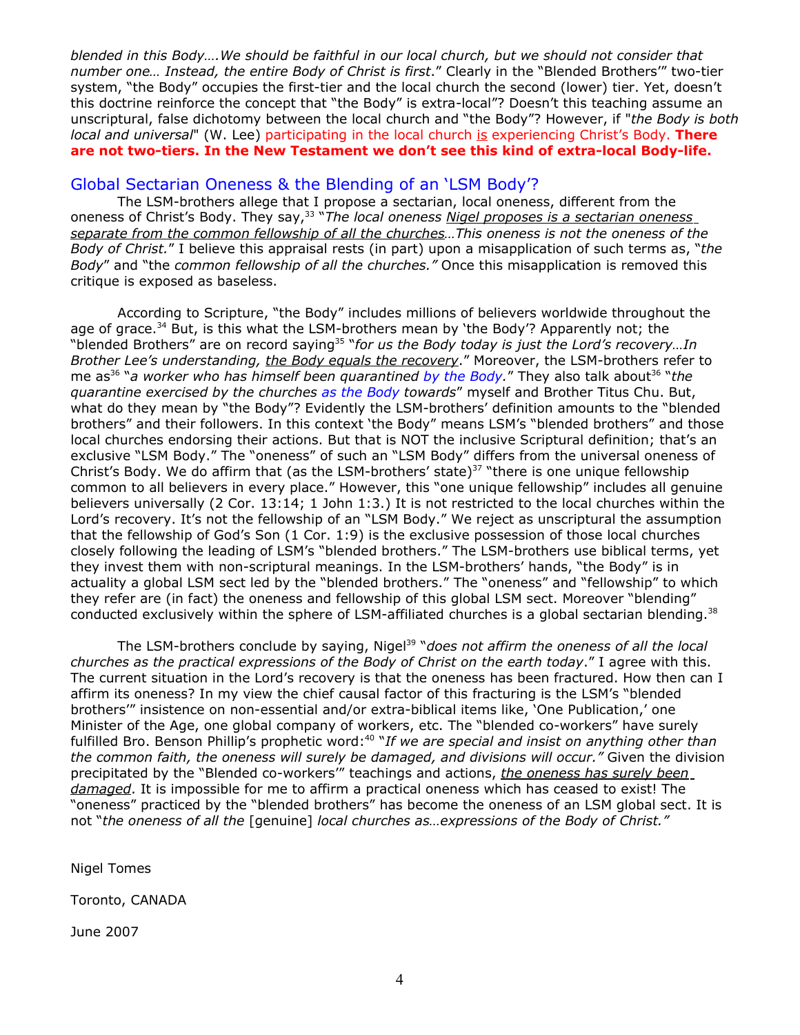*blended in this Body….We should be faithful in our local church, but we should not consider that number one… Instead, the entire Body of Christ is first*." Clearly in the "Blended Brothers'" two-tier system, "the Body" occupies the first-tier and the local church the second (lower) tier. Yet, doesn't this doctrine reinforce the concept that "the Body" is extra-local"? Doesn't this teaching assume an unscriptural, false dichotomy between the local church and "the Body"? However, if "*the Body is both local and universal*" (W. Lee) participating in the local church is experiencing Christ's Body. **There are not two-tiers. In the New Testament we don't see this kind of extra-local Body-life.**

### Global Sectarian Oneness & the Blending of an 'LSM Body'?

The LSM-brothers allege that I propose a sectarian, local oneness, different from the oneness of Christ's Body. They say, 33 "*The local oneness Nigel proposes is a sectarian oneness separate from the common fellowship of all the churches…This oneness is not the oneness of the Body of Christ.*" I believe this appraisal rests (in part) upon a misapplication of such terms as, "*the Body*" and "the *common fellowship of all the churches."* Once this misapplication is removed this critique is exposed as baseless.

According to Scripture, "the Body" includes millions of believers worldwide throughout the age of grace.<sup>34</sup> But, is this what the LSM-brothers mean by 'the Body'? Apparently not; the "blended Brothers" are on record saying 35 "*for us the Body today is just the Lord's recovery…In Brother Lee's understanding, the Body equals the recovery*." Moreover, the LSM-brothers refer to me as 36 "*a worker who has himself been quarantined by the Body.*" They also talk about 36 "*the quarantine exercised by the churches as the Body towards*" myself and Brother Titus Chu. But, what do they mean by "the Body"? Evidently the LSM-brothers' definition amounts to the "blended brothers" and their followers. In this context 'the Body" means LSM's "blended brothers" and those local churches endorsing their actions. But that is NOT the inclusive Scriptural definition; that's an exclusive "LSM Body." The "oneness" of such an "LSM Body" differs from the universal oneness of Christ's Body. We do affirm that (as the LSM-brothers' state)<sup>37</sup> "there is one unique fellowship common to all believers in every place." However, this "one unique fellowship" includes all genuine believers universally (2 Cor. 13:14; 1 John 1:3.) It is not restricted to the local churches within the Lord's recovery. It's not the fellowship of an "LSM Body." We reject as unscriptural the assumption that the fellowship of God's Son (1 Cor. 1:9) is the exclusive possession of those local churches closely following the leading of LSM's "blended brothers." The LSM-brothers use biblical terms, yet they invest them with non-scriptural meanings. In the LSM-brothers' hands, "the Body" is in actuality a global LSM sect led by the "blended brothers." The "oneness" and "fellowship" to which they refer are (in fact) the oneness and fellowship of this global LSM sect. Moreover "blending" conducted exclusively within the sphere of LSM-affiliated churches is a global sectarian blending.<sup>38</sup>

The LSM-brothers conclude by saying, Nigel 39 "*does not affirm the oneness of all the local churches as the practical expressions of the Body of Christ on the earth today*." I agree with this. The current situation in the Lord's recovery is that the oneness has been fractured. How then can I affirm its oneness? In my view the chief causal factor of this fracturing is the LSM's "blended brothers'" insistence on non-essential and/or extra-biblical items like, 'One Publication,' one Minister of the Age, one global company of workers, etc. The "blended co-workers" have surely fulfilled Bro. Benson Phillip's prophetic word: 40 "*If we are special and insist on anything other than the common faith, the oneness will surely be damaged, and divisions will occur."* Given the division precipitated by the "Blended co-workers'" teachings and actions, *the oneness has surely been damaged*. It is impossible for me to affirm a practical oneness which has ceased to exist! The "oneness" practiced by the "blended brothers" has become the oneness of an LSM global sect. It is not "*the oneness of all the* [genuine] *local churches as…expressions of the Body of Christ."*

Nigel Tomes

Toronto, CANADA

June 2007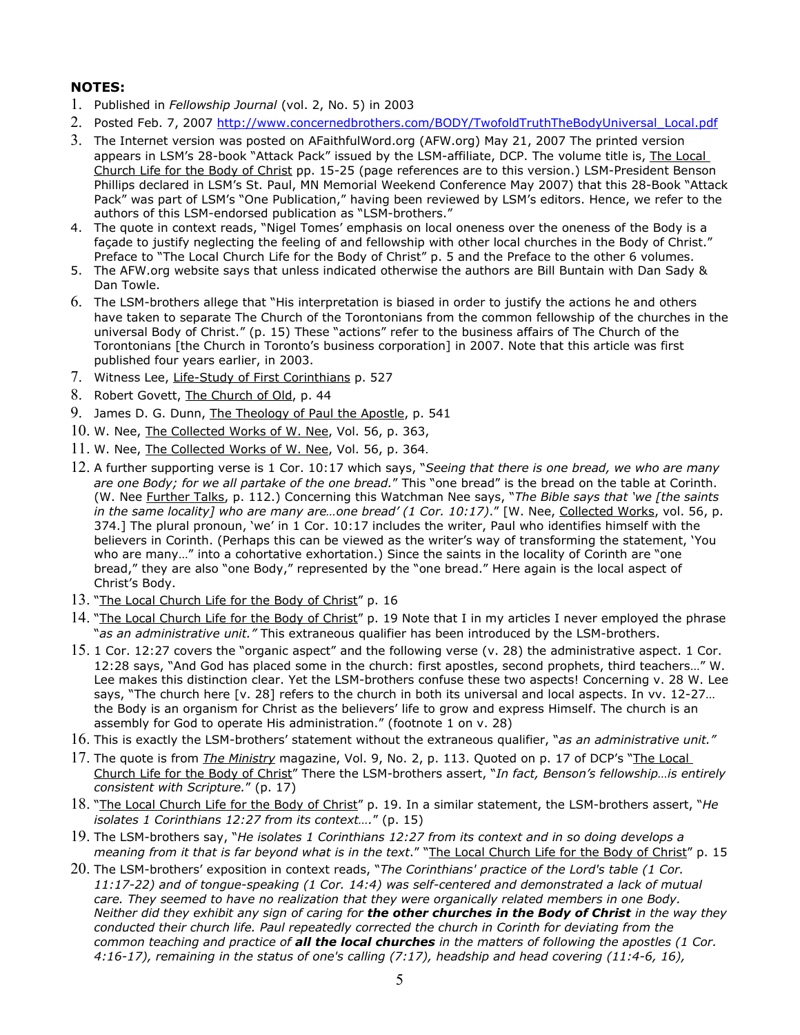### **NOTES:**

- 1. Published in *Fellowship Journal* (vol. 2, No. 5) in 2003
- 2. Posted Feb. 7, 2007 [http://www.concernedbrothers.com/BODY/TwofoldTruthTheBodyUniversal\\_Local.pdf](http://www.concernedbrothers.com/BODY/TwofoldTruthTheBodyUniversal_Local.pdf)
- 3. The Internet version was posted on AFaithfulWord.org (AFW.org) May 21, 2007 The printed version appears in LSM's 28-book "Attack Pack" issued by the LSM-affiliate, DCP. The volume title is, The Local Church Life for the Body of Christ pp. 15-25 (page references are to this version.) LSM-President Benson Phillips declared in LSM's St. Paul, MN Memorial Weekend Conference May 2007) that this 28-Book "Attack Pack" was part of LSM's "One Publication," having been reviewed by LSM's editors. Hence, we refer to the authors of this LSM-endorsed publication as "LSM-brothers."
- 4. The quote in context reads, "Nigel Tomes' emphasis on local oneness over the oneness of the Body is a façade to justify neglecting the feeling of and fellowship with other local churches in the Body of Christ." Preface to "The Local Church Life for the Body of Christ" p. 5 and the Preface to the other 6 volumes.
- 5. The AFW.org website says that unless indicated otherwise the authors are Bill Buntain with Dan Sady & Dan Towle.
- 6. The LSM-brothers allege that "His interpretation is biased in order to justify the actions he and others have taken to separate The Church of the Torontonians from the common fellowship of the churches in the universal Body of Christ." (p. 15) These "actions" refer to the business affairs of The Church of the Torontonians [the Church in Toronto's business corporation] in 2007. Note that this article was first published four years earlier, in 2003.
- 7. Witness Lee, Life-Study of First Corinthians p. 527
- 8. Robert Govett, The Church of Old, p. 44
- 9. James D. G. Dunn, The Theology of Paul the Apostle, p. 541
- 10. W. Nee, The Collected Works of W. Nee, Vol. 56, p. 363,
- 11. W. Nee, The Collected Works of W. Nee, Vol. 56, p. 364.
- 12. A further supporting verse is 1 Cor. 10:17 which says, "*Seeing that there is one bread, we who are many are one Body; for we all partake of the one bread.*" This "one bread" is the bread on the table at Corinth. (W. Nee Further Talks, p. 112.) Concerning this Watchman Nee says, "*The Bible says that 'we [the saints in the same locality] who are many are…one bread' (1 Cor. 10:17)*." [W. Nee, Collected Works, vol. 56, p. 374.] The plural pronoun, 'we' in 1 Cor. 10:17 includes the writer, Paul who identifies himself with the believers in Corinth. (Perhaps this can be viewed as the writer's way of transforming the statement, 'You who are many…" into a cohortative exhortation.) Since the saints in the locality of Corinth are "one bread," they are also "one Body," represented by the "one bread." Here again is the local aspect of Christ's Body.
- 13. "The Local Church Life for the Body of Christ" p. 16
- 14. "The Local Church Life for the Body of Christ" p. 19 Note that I in my articles I never employed the phrase "*as an administrative unit."* This extraneous qualifier has been introduced by the LSM-brothers.
- 15. 1 Cor. 12:27 covers the "organic aspect" and the following verse (v. 28) the administrative aspect. 1 Cor. 12:28 says, "And God has placed some in the church: first apostles, second prophets, third teachers…" W. Lee makes this distinction clear. Yet the LSM-brothers confuse these two aspects! Concerning v. 28 W. Lee says, "The church here [v. 28] refers to the church in both its universal and local aspects. In vv. 12-27... the Body is an organism for Christ as the believers' life to grow and express Himself. The church is an assembly for God to operate His administration." (footnote 1 on v. 28)
- 16. This is exactly the LSM-brothers' statement without the extraneous qualifier, "*as an administrative unit."*
- 17. The quote is from *The Ministry* magazine, Vol. 9, No. 2, p. 113. Quoted on p. 17 of DCP's "The Local Church Life for the Body of Christ" There the LSM-brothers assert, "*In fact, Benson's fellowship…is entirely consistent with Scripture.*" (p. 17)
- 18. "The Local Church Life for the Body of Christ" p. 19. In a similar statement, the LSM-brothers assert, "*He isolates 1 Corinthians 12:27 from its context….*" (p. 15)
- 19. The LSM-brothers say, "*He isolates 1 Corinthians 12:27 from its context and in so doing develops a meaning from it that is far beyond what is in the text*." "The Local Church Life for the Body of Christ" p. 15
- 20. The LSM-brothers' exposition in context reads, "*The Corinthians' practice of the Lord's table (1 Cor. 11:17-22) and of tongue-speaking (1 Cor. 14:4) was self-centered and demonstrated a lack of mutual care. They seemed to have no realization that they were organically related members in one Body.* Neither did they exhibit any sign of caring for the other churches in the Body of Christ in the way they *conducted their church life. Paul repeatedly corrected the church in Corinth for deviating from the* common teaching and practice of all the local churches in the matters of following the apostles (1 Cor. *4:16-17), remaining in the status of one's calling (7:17), headship and head covering (11:4-6, 16),*